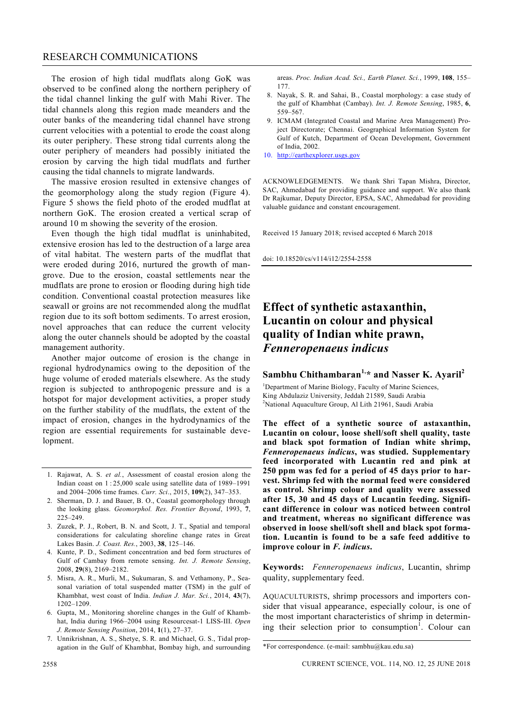## RESEARCH COMMUNICATIONS

The erosion of high tidal mudflats along GoK was observed to be confined along the northern periphery of the tidal channel linking the gulf with Mahi River. The tidal channels along this region made meanders and the outer banks of the meandering tidal channel have strong current velocities with a potential to erode the coast along its outer periphery. These strong tidal currents along the outer periphery of meanders had possibly initiated the erosion by carving the high tidal mudflats and further causing the tidal channels to migrate landwards.

The massive erosion resulted in extensive changes of the geomorphology along the study region (Figure 4). Figure 5 shows the field photo of the eroded mudflat at northern GoK. The erosion created a vertical scrap of around 10 m showing the severity of the erosion.

Even though the high tidal mudflat is uninhabited, extensive erosion has led to the destruction of a large area of vital habitat. The western parts of the mudflat that were eroded during 2016, nurtured the growth of mangrove. Due to the erosion, coastal settlements near the mudflats are prone to erosion or flooding during high tide condition. Conventional coastal protection measures like seawall or groins are not recommended along the mudflat region due to its soft bottom sediments. To arrest erosion, novel approaches that can reduce the current velocity along the outer channels should be adopted by the coastal management authority.

Another major outcome of erosion is the change in regional hydrodynamics owing to the deposition of the huge volume of eroded materials elsewhere. As the study region is subjected to anthropogenic pressure and is a hotspot for major development activities, a proper study on the further stability of the mudflats, the extent of the impact of erosion, changes in the hydrodynamics of the region are essential requirements for sustainable development.

- 1. Rajawat, A. S. *et al.*, Assessment of coastal erosion along the Indian coast on 1 : 25,000 scale using satellite data of 1989–1991 and 2004–2006 time frames. *Curr. Sci*., 2015, **109**(2), 347–353.
- 2. Sherman, D. J. and Bauer, B. O., Coastal geomorphology through the looking glass. *Geomorphol. Res. Frontier Beyond*, 1993, **7**, 225–249.
- 3. Zuzek, P. J., Robert, B. N. and Scott, J. T., Spatial and temporal considerations for calculating shoreline change rates in Great Lakes Basin. *J. Coast. Res.*, 2003, **38**, 125–146.
- 4. Kunte, P. D., Sediment concentration and bed form structures of Gulf of Cambay from remote sensing. *Int. J. Remote Sensing*, 2008, **29**(8), 2169–2182.
- 5. Misra, A. R., Murli, M., Sukumaran, S. and Vethamony, P., Seasonal variation of total suspended matter (TSM) in the gulf of Khambhat, west coast of India. *Indian J. Mar. Sci.*, 2014, **43**(7), 1202–1209.
- 6. Gupta, M., Monitoring shoreline changes in the Gulf of Khambhat, India during 1966–2004 using Resourcesat-1 LISS-III. *Open J. Remote Sensing Position*, 2014, **1**(1), 27–37.
- 7. Unnikrishnan, A. S., Shetye, S. R. and Michael, G. S., Tidal propagation in the Gulf of Khambhat, Bombay high, and surrounding

areas. *Proc. Indian Acad. Sci., Earth Planet. Sci.*, 1999, **108**, 155– 177.

- 8. Nayak, S. R. and Sahai, B., Coastal morphology: a case study of the gulf of Khambhat (Cambay). *Int. J. Remote Sensing*, 1985, **6**, 559–567.
- 9. ICMAM (Integrated Coastal and Marine Area Management) Project Directorate; Chennai. Geographical Information System for Gulf of Kutch, Department of Ocean Development, Government of India, 2002.
- 10. http://earthexplorer.usgs.gov

ACKNOWLEDGEMENTS. We thank Shri Tapan Mishra, Director, SAC, Ahmedabad for providing guidance and support. We also thank Dr Rajkumar, Deputy Director, EPSA, SAC, Ahmedabad for providing valuable guidance and constant encouragement.

Received 15 January 2018; revised accepted 6 March 2018

doi: 10.18520/cs/v114/i12/2554-2558

## **Effect of synthetic astaxanthin, Lucantin on colour and physical quality of Indian white prawn,**  *Fenneropenaeus indicus*

## **Sambhu Chithambaran1,\* and Nasser K. Ayaril<sup>2</sup>**

<sup>1</sup>Department of Marine Biology, Faculty of Marine Sciences, King Abdulaziz University, Jeddah 21589, Saudi Arabia <sup>2</sup>National Aquaculture Group, Al Lith 21961, Saudi Arabia

**The effect of a synthetic source of astaxanthin, Lucantin on colour, loose shell/soft shell quality, taste and black spot formation of Indian white shrimp,**  *Fenneropenaeus indicus***, was studied. Supplementary feed incorporated with Lucantin red and pink at 250 ppm was fed for a period of 45 days prior to harvest. Shrimp fed with the normal feed were considered as control. Shrimp colour and quality were assessed after 15, 30 and 45 days of Lucantin feeding. Significant difference in colour was noticed between control and treatment, whereas no significant difference was observed in loose shell/soft shell and black spot formation. Lucantin is found to be a safe feed additive to improve colour in** *F. indicus***.**

**Keywords:** *Fenneropenaeus indicus*, Lucantin, shrimp quality, supplementary feed.

AQUACULTURISTS, shrimp processors and importers consider that visual appearance, especially colour, is one of the most important characteristics of shrimp in determining their selection prior to consumption<sup>1</sup>. Colour can

<sup>\*</sup>For correspondence. (e-mail: sambhu@kau.edu.sa)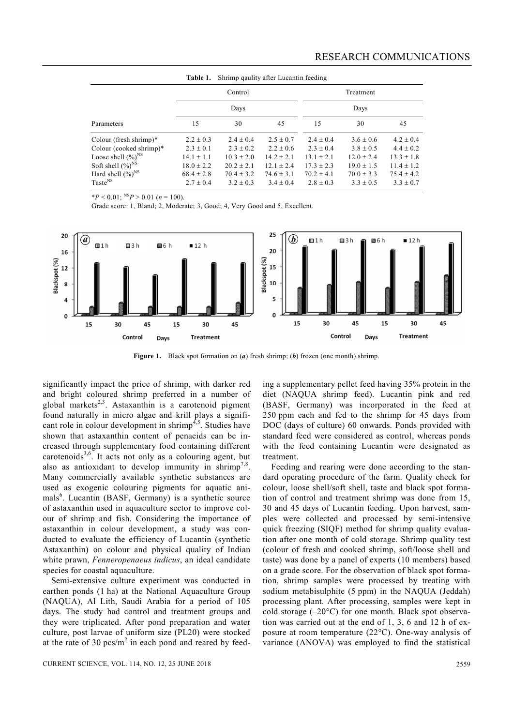| Shrimp qaulity after Lucantin feeding<br>Table 1. |                |                |                |                |                |                |
|---------------------------------------------------|----------------|----------------|----------------|----------------|----------------|----------------|
|                                                   | Control        |                |                | Treatment      |                |                |
|                                                   | Days           |                |                | Days           |                |                |
| Parameters                                        | 15             | 30             | 45             | 15             | 30             | 45             |
| Colour (fresh shrimp) $*$                         | $2.2 \pm 0.3$  | $2.4 + 0.4$    | $2.5 \pm 0.7$  | $2.4 + 0.4$    | $3.6 \pm 0.6$  | $4.2 \pm 0.4$  |
| Colour (cooked shrimp)*                           | $2.3 \pm 0.1$  | $2.3 \pm 0.2$  | $2.2 \pm 0.6$  | $2.3 \pm 0.4$  | $3.8 \pm 0.5$  | $4.4 \pm 0.2$  |
| Loose shell $(\%)^{NS}$                           | $14.1 + 1.1$   | $10.3 + 2.0$   | $14.2 + 2.1$   | $13.1 + 2.1$   | $12.0 \pm 2.4$ | $13.3 + 1.8$   |
| Soft shell $(\%)^{NS}$                            | $18.0 + 2.2$   | $20.2 + 2.1$   | $12.1 + 2.4$   | $17.3 + 2.3$   | $19.0 \pm 1.5$ | $11.4 + 1.2$   |
| Hard shell $(\%)^{NS}$                            | $68.4 \pm 2.8$ | $70.4 \pm 3.2$ | $74.6 \pm 3.1$ | $70.2 \pm 4.1$ | $70.0 \pm 3.3$ | $75.4 \pm 4.2$ |
| Taste <sup>NS</sup>                               | $2.7 + 0.4$    | $3.2 + 0.3$    | $3.4 + 0.4$    | $2.8 \pm 0.3$  | $3.3 + 0.5$    | $3.3 \pm 0.7$  |

 $*P < 0.01$ ;  $^{NS}P > 0.01$  (*n* = 100).

Grade score: 1, Bland; 2, Moderate; 3, Good; 4, Very Good and 5, Excellent.



**Figure 1.** Black spot formation on (*a*) fresh shrimp; (*b*) frozen (one month) shrimp.

significantly impact the price of shrimp, with darker red and bright coloured shrimp preferred in a number of global markets<sup>2,3</sup>. Astaxanthin is a carotenoid pigment found naturally in micro algae and krill plays a significant role in colour development in shrimp<sup>4,5</sup>. Studies have shown that astaxanthin content of penaeids can be increased through supplementary food containing different carotenoids<sup>3,6</sup>. It acts not only as a colouring agent, but also as antioxidant to develop immunity in shrimp<sup>7,8</sup>. Many commercially available synthetic substances are used as exogenic colouring pigments for aquatic animals<sup>6</sup>. Lucantin (BASF, Germany) is a synthetic source of astaxanthin used in aquaculture sector to improve colour of shrimp and fish. Considering the importance of astaxanthin in colour development, a study was conducted to evaluate the efficiency of Lucantin (synthetic Astaxanthin) on colour and physical quality of Indian white prawn, *Fenneropenaeus indicus*, an ideal candidate species for coastal aquaculture.

Semi-extensive culture experiment was conducted in earthen ponds (1 ha) at the National Aquaculture Group (NAQUA), Al Lith, Saudi Arabia for a period of 105 days. The study had control and treatment groups and they were triplicated. After pond preparation and water culture, post larvae of uniform size (PL20) were stocked at the rate of 30  $\text{pcs/m}^2$  in each pond and reared by feed-

CURRENT SCIENCE, VOL. 114, NO. 12, 25 JUNE 2018 2559

ing a supplementary pellet feed having 35% protein in the diet (NAQUA shrimp feed). Lucantin pink and red (BASF, Germany) was incorporated in the feed at 250 ppm each and fed to the shrimp for 45 days from DOC (days of culture) 60 onwards. Ponds provided with standard feed were considered as control, whereas ponds with the feed containing Lucantin were designated as treatment.

Feeding and rearing were done according to the standard operating procedure of the farm. Quality check for colour, loose shell/soft shell, taste and black spot formation of control and treatment shrimp was done from 15, 30 and 45 days of Lucantin feeding. Upon harvest, samples were collected and processed by semi-intensive quick freezing (SIQF) method for shrimp quality evaluation after one month of cold storage. Shrimp quality test (colour of fresh and cooked shrimp, soft/loose shell and taste) was done by a panel of experts (10 members) based on a grade score. For the observation of black spot formation, shrimp samples were processed by treating with sodium metabisulphite (5 ppm) in the NAQUA (Jeddah) processing plant. After processing, samples were kept in cold storage  $(-20^{\circ}C)$  for one month. Black spot observation was carried out at the end of 1, 3, 6 and 12 h of exposure at room temperature  $(22^{\circ}C)$ . One-way analysis of variance (ANOVA) was employed to find the statistical